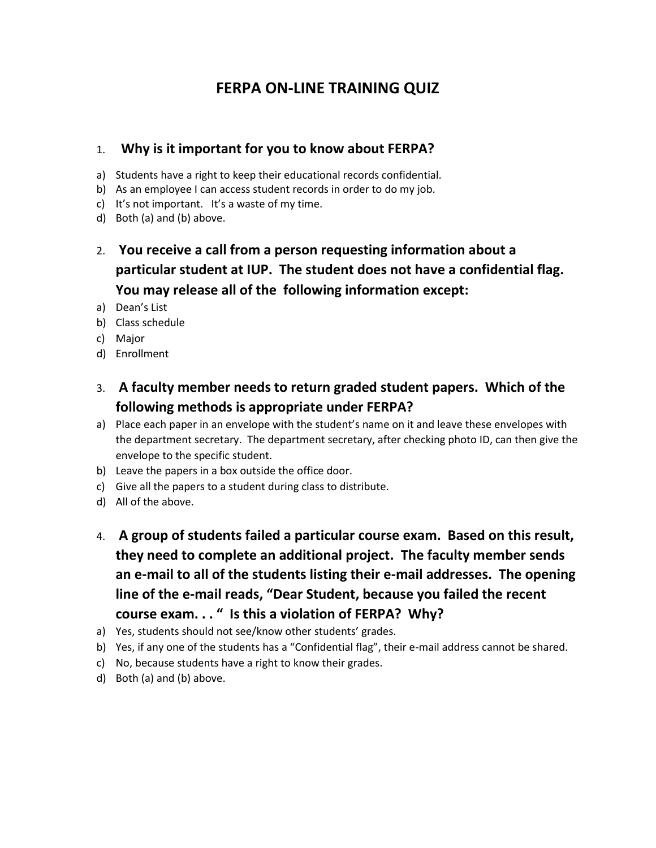# **FERPA ON-LINE TRAINING QUIZ**

#### 1. **Why is it important for you to know about FERPA?**

- a) Students have a right to keep their educational records confidential.
- b) As an employee I can access student records in order to do my job.
- c) It's not important. It's a waste of my time.
- d) Both (a) and (b) above.
- 2. **You receive a call from a person requesting information about a particular student at IUP. The student does not have a confidential flag. You may release all of the following information except:**
- a) Dean's List
- b) Class schedule
- c) Major
- d) Enrollment
- 3. **A faculty member needs to return graded student papers. Which of the following methods is appropriate under FERPA?**
- a) Place each paper in an envelope with the student's name on it and leave these envelopes with the department secretary. The department secretary, after checking photo ID, can then give the envelope to the specific student.
- b) Leave the papers in a box outside the office door.
- c) Give all the papers to a student during class to distribute.
- d) All of the above.
- 4. **A group of students failed a particular course exam. Based on this result, they need to complete an additional project. The faculty member sends an e-mail to all of the students listing their e-mail addresses. The opening line of the e-mail reads, "Dear Student, because you failed the recent course exam. . . " Is this a violation of FERPA? Why?**
- a) Yes, students should not see/know other students' grades.
- b) Yes, if any one of the students has a "Confidential flag", their e-mail address cannot be shared.
- c) No, because students have a right to know their grades.
- d) Both (a) and (b) above.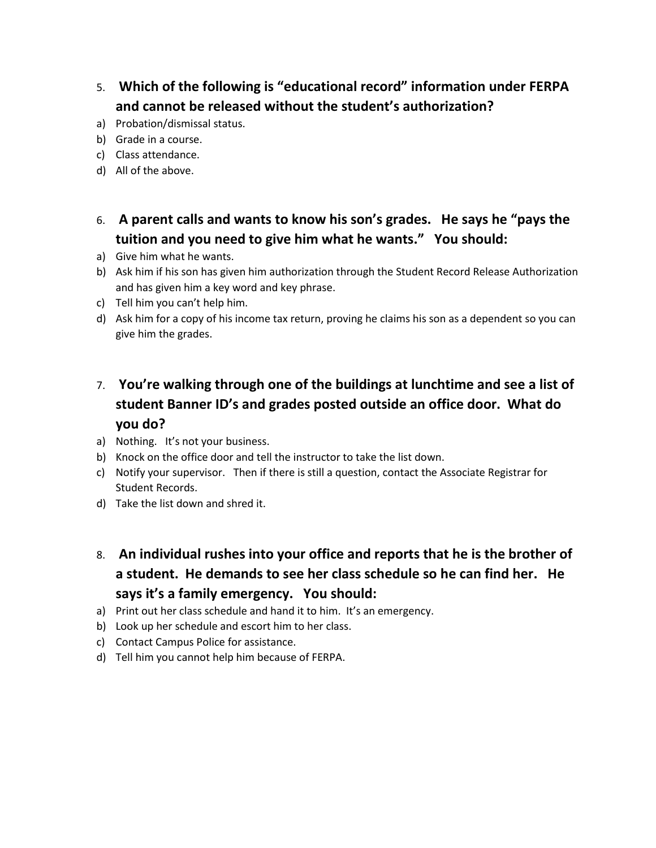- 5. **Which of the following is "educational record" information under FERPA and cannot be released without the student's authorization?**
- a) Probation/dismissal status.
- b) Grade in a course.
- c) Class attendance.
- d) All of the above.
- 6. **A parent calls and wants to know his son's grades. He says he "pays the tuition and you need to give him what he wants." You should:**
- a) Give him what he wants.
- b) Ask him if his son has given him authorization through the Student Record Release Authorization and has given him a key word and key phrase.
- c) Tell him you can't help him.
- d) Ask him for a copy of his income tax return, proving he claims his son as a dependent so you can give him the grades.

# 7. **You're walking through one of the buildings at lunchtime and see a list of student Banner ID's and grades posted outside an office door. What do you do?**

- a) Nothing. It's not your business.
- b) Knock on the office door and tell the instructor to take the list down.
- c) Notify your supervisor. Then if there is still a question, contact the Associate Registrar for Student Records.
- d) Take the list down and shred it.
- 8. **An individual rushes into your office and reports that he is the brother of a student. He demands to see her class schedule so he can find her. He says it's a family emergency. You should:**
- a) Print out her class schedule and hand it to him. It's an emergency.
- b) Look up her schedule and escort him to her class.
- c) Contact Campus Police for assistance.
- d) Tell him you cannot help him because of FERPA.